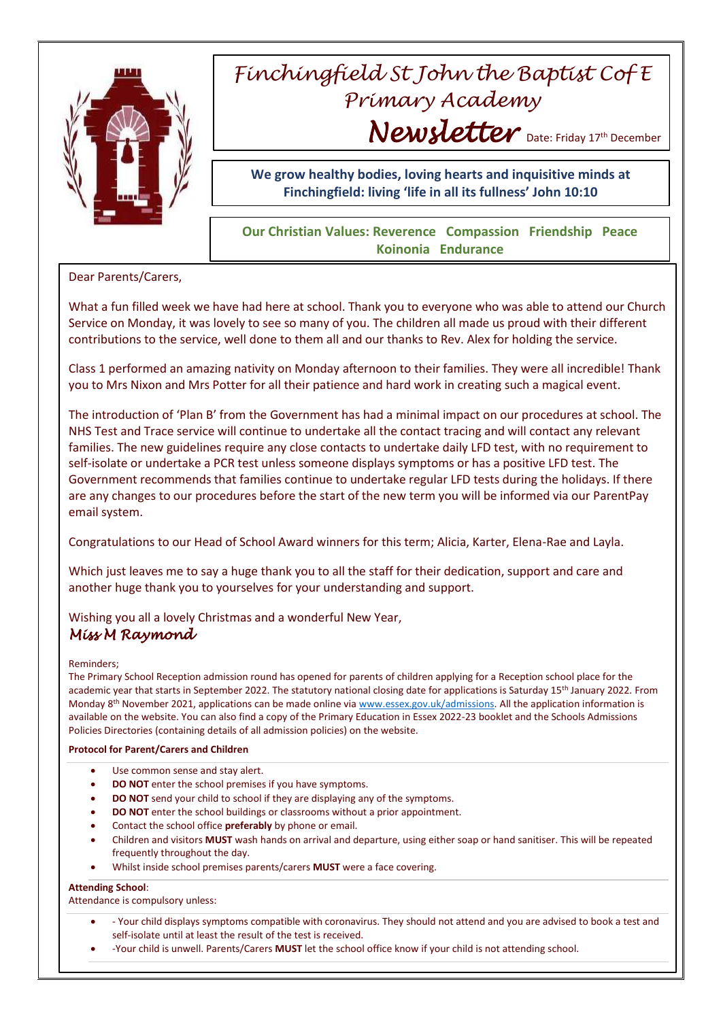

# *Finchingfield St John the Baptist Cof E Primary Academy* Newsletter Date: Friday 17th December

**We grow healthy bodies, loving hearts and inquisitive minds at Finchingfield: living 'life in all its fullness' John 10:10**

### **Our Christian Values: Reverence Compassion Friendship Peace Koinonia Endurance**

Dear Parents/Carers,

What a fun filled week we have had here at school. Thank you to everyone who was able to attend our Church Service on Monday, it was lovely to see so many of you. The children all made us proud with their different contributions to the service, well done to them all and our thanks to Rev. Alex for holding the service.

Class 1 performed an amazing nativity on Monday afternoon to their families. They were all incredible! Thank you to Mrs Nixon and Mrs Potter for all their patience and hard work in creating such a magical event.

The introduction of 'Plan B' from the Government has had a minimal impact on our procedures at school. The NHS Test and Trace service will continue to undertake all the contact tracing and will contact any relevant families. The new guidelines require any close contacts to undertake daily LFD test, with no requirement to self-isolate or undertake a PCR test unless someone displays symptoms or has a positive LFD test. The Government recommends that families continue to undertake regular LFD tests during the holidays. If there are any changes to our procedures before the start of the new term you will be informed via our ParentPay email system.

Congratulations to our Head of School Award winners for this term; Alicia, Karter, Elena-Rae and Layla.

Which just leaves me to say a huge thank you to all the staff for their dedication, support and care and another huge thank you to yourselves for your understanding and support.

Wishing you all a lovely Christmas and a wonderful New Year,

## *Miss M Raymond*

Reminders;

The Primary School Reception admission round has opened for parents of children applying for a Reception school place for the academic year that starts in September 2022. The statutory national closing date for applications is Saturday 15<sup>th</sup> January 2022. From Monday 8<sup>th</sup> November 2021, applications can be made online vi[a www.essex.gov.uk/admissions.](http://www.essex.gov.uk/admissions) All the application information is available on the website. You can also find a copy of the Primary Education in Essex 2022-23 booklet and the Schools Admissions Policies Directories (containing details of all admission policies) on the website.

### **Protocol for Parent/Carers and Children**

- Use common sense and stay alert.
- **DO NOT** enter the school premises if you have symptoms.
- **DO NOT** send your child to school if they are displaying any of the symptoms.
- **DO NOT** enter the school buildings or classrooms without a prior appointment.
- Contact the school office **preferably** by phone or email.
- Children and visitors **MUST** wash hands on arrival and departure, using either soap or hand sanitiser. This will be repeated frequently throughout the day.
- Whilst inside school premises parents/carers **MUST** were a face covering.

### **Attending School**:

Attendance is compulsory unless:

- Your child displays symptoms compatible with coronavirus. They should not attend and you are advised to book a test and self-isolate until at least the result of the test is received.
- -Your child is unwell. Parents/Carers **MUST** let the school office know if your child is not attending school.